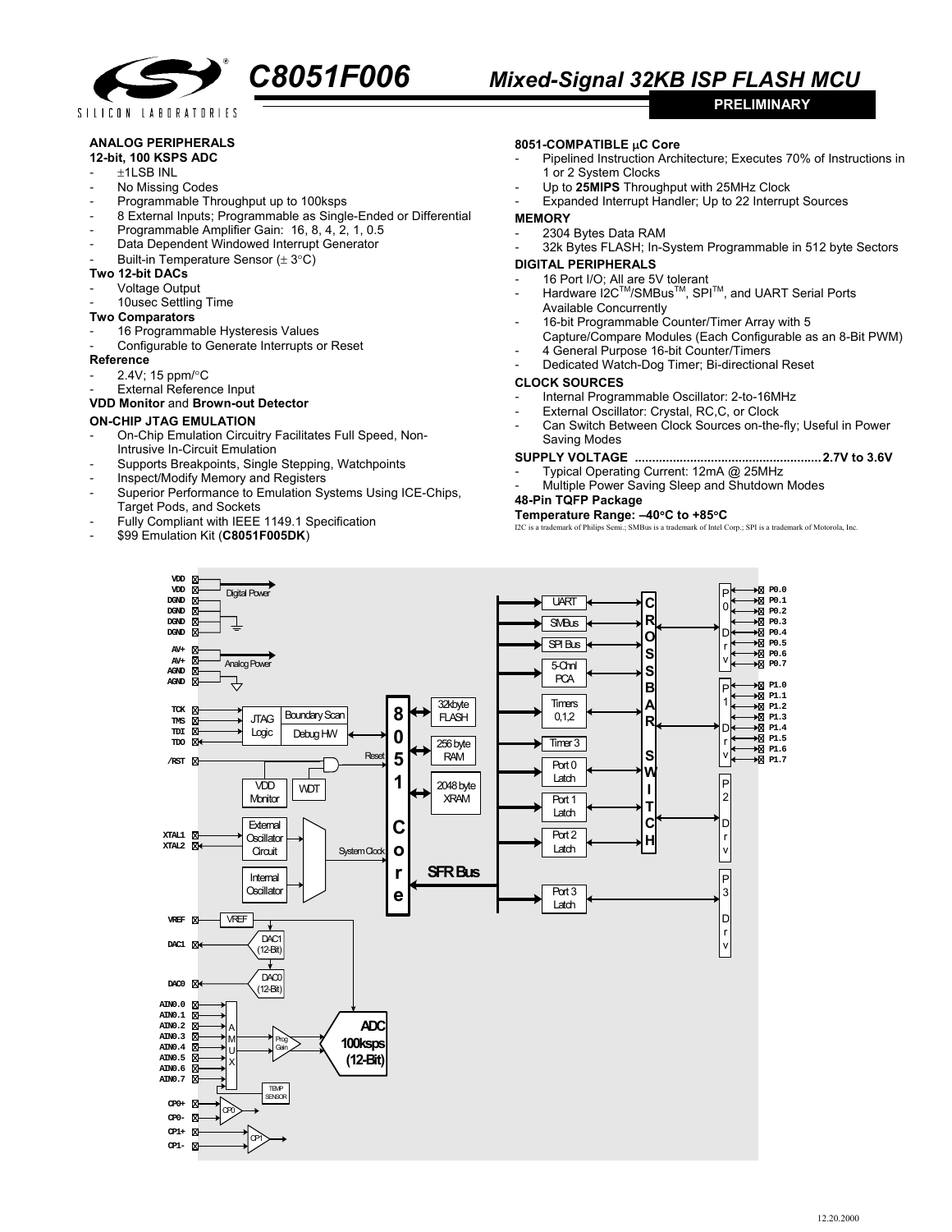

# **ANALOG PERIPHERALS**

#### **12-bit, 100 KSPS ADC**

- ±1LSB INL
- No Missing Codes
- Programmable Throughput up to 100ksps
- 8 External Inputs; Programmable as Single-Ended or Differential
- Programmable Amplifier Gain: 16, 8, 4, 2, 1, 0.5
- Data Dependent Windowed Interrupt Generator
- Built-in Temperature Sensor ( $\pm$  3°C)

## **Two 12-bit DACs**

- Voltage Output
- 10usec Settling Time
- **Two Comparators**
- 16 Programmable Hysteresis Values
- Configurable to Generate Interrupts or Reset

#### **Reference**

- 2.4V; 15 ppm/°C
- External Reference Input

# **VDD Monitor** and **Brown-out Detector**

## **ON-CHIP JTAG EMULATION**

- On-Chip Emulation Circuitry Facilitates Full Speed, Non-Intrusive In-Circuit Emulation
- Supports Breakpoints, Single Stepping, Watchpoints
- Inspect/Modify Memory and Registers
- Superior Performance to Emulation Systems Using ICE-Chips, Target Pods, and Sockets
- Fully Compliant with IEEE 1149.1 Specification
- \$99 Emulation Kit (**C8051F005DK**)

## **8051-COMPATIBLE** µ**C Core**

Pipelined Instruction Architecture; Executes 70% of Instructions in 1 or 2 System Clocks

**PRELIMINARY** 

- Up to 25MIPS Throughput with 25MHz Clock
- Expanded Interrupt Handler; Up to 22 Interrupt Sources

#### **MEMORY**

- 2304 Bytes Data RAM
- 32k Bytes FLASH; In-System Programmable in 512 byte Sectors

#### **DIGITAL PERIPHERALS**

- 16 Port I/O; All are 5V tolerant
	- Hardware I2C<sup>™</sup>/SMBus<sup>™</sup>, SPI<sup>™</sup>, and UART Serial Ports Available Concurrently
	- 16-bit Programmable Counter/Timer Array with 5
	- Capture/Compare Modules (Each Configurable as an 8-Bit PWM)
	- 4 General Purpose 16-bit Counter/Timers
	- Dedicated Watch-Dog Timer; Bi-directional Reset

#### **CLOCK SOURCES**

- Internal Programmable Oscillator: 2-to-16MHz
- External Oscillator: Crystal, RC,C, or Clock
- Can Switch Between Clock Sources on-the-fly; Useful in Power Saving Modes

# **SUPPLY VOLTAGE ......................................................2.7V to 3.6V**

- Typical Operating Current: 12mA @ 25MHz
- Multiple Power Saving Sleep and Shutdown Modes

# **48-Pin TQFP Package**

**Temperature Range:**  $-40^{\circ}\text{C}$  **to**  $+85^{\circ}\text{C}$ **<br>I2C is a trademark of Philips Semi.; SMBus is a trademark of Intel Corp.; SPI is a trademark of Motorola, Inc.**